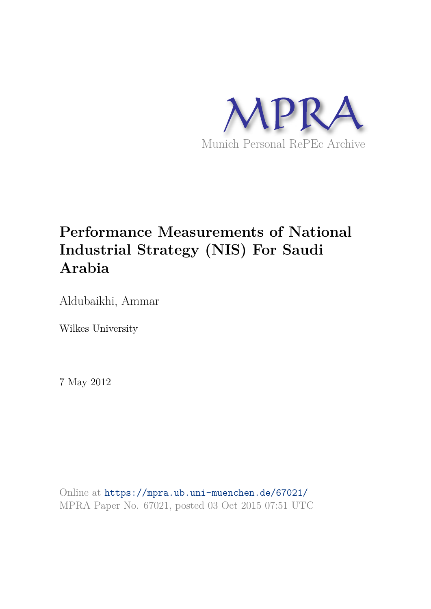

# **Performance Measurements of National Industrial Strategy (NIS) For Saudi Arabia**

Aldubaikhi, Ammar

Wilkes University

7 May 2012

Online at https://mpra.ub.uni-muenchen.de/67021/ MPRA Paper No. 67021, posted 03 Oct 2015 07:51 UTC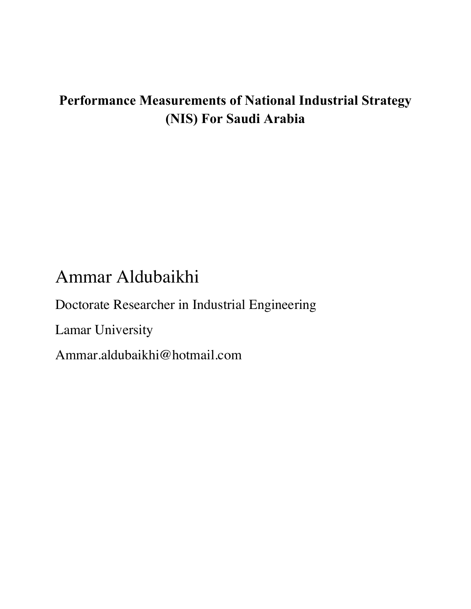# **Performance Measurements of National Industrial Strategy (NIS) For Saudi Arabia**

# Ammar Aldubaikhi

Doctorate Researcher in Industrial Engineering Lamar University Ammar.aldubaikhi@hotmail.com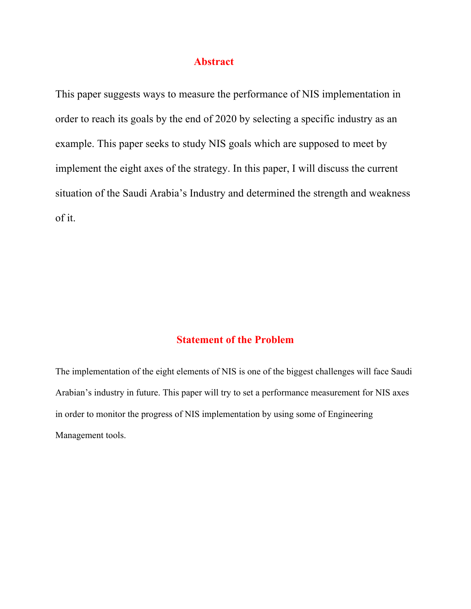#### **Abstract**

This paper suggests ways to measure the performance of NIS implementation in order to reach its goals by the end of 2020 by selecting a specific industry as an example. This paper seeks to study NIS goals which are supposed to meet by implement the eight axes of the strategy. In this paper, I will discuss the current situation of the Saudi Arabia's Industry and determined the strength and weakness of it.

#### **Statement of the Problem**

The implementation of the eight elements of NIS is one of the biggest challenges will face Saudi Arabian's industry in future. This paper will try to set a performance measurement for NIS axes in order to monitor the progress of NIS implementation by using some of Engineering Management tools.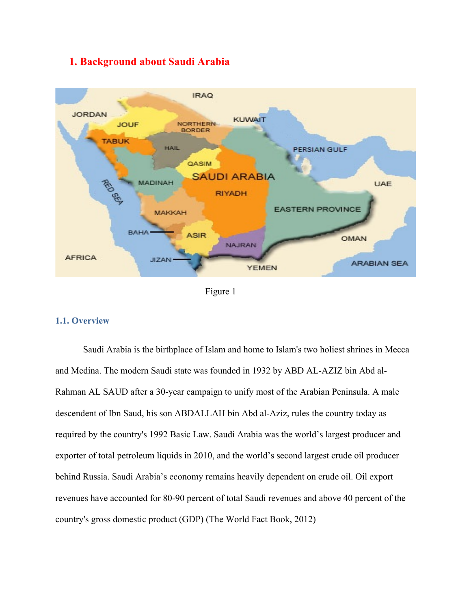### **1. Background about Saudi Arabia**



Figure 1

#### **1.1. Overview**

Saudi Arabia is the birthplace of Islam and home to Islam's two holiest shrines in Mecca and Medina. The modern Saudi state was founded in 1932 by ABD AL-AZIZ bin Abd al-Rahman AL SAUD after a 30-year campaign to unify most of the Arabian Peninsula. A male descendent of Ibn Saud, his son ABDALLAH bin Abd al-Aziz, rules the country today as required by the country's 1992 Basic Law. Saudi Arabia was the world's largest producer and exporter of total petroleum liquids in 2010, and the world's second largest crude oil producer behind Russia. Saudi Arabia's economy remains heavily dependent on crude oil. Oil export revenues have accounted for 80-90 percent of total Saudi revenues and above 40 percent of the country's gross domestic product (GDP) (The World Fact Book, 2012)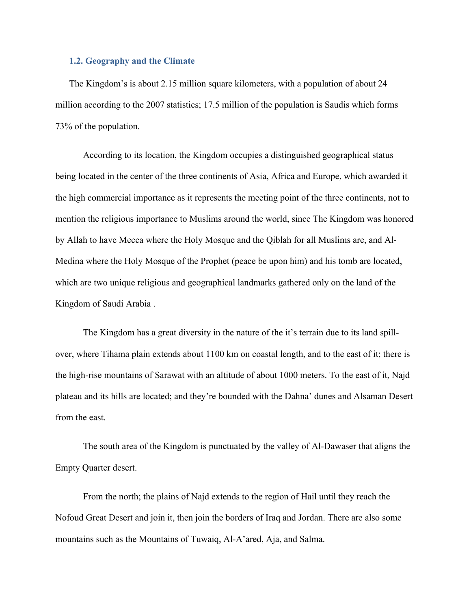#### **1.2. Geography and the Climate**

The Kingdom's is about 2.15 million square kilometers, with a population of about 24 million according to the 2007 statistics; 17.5 million of the population is Saudis which forms 73% of the population.

According to its location, the Kingdom occupies a distinguished geographical status being located in the center of the three continents of Asia, Africa and Europe, which awarded it the high commercial importance as it represents the meeting point of the three continents, not to mention the religious importance to Muslims around the world, since The Kingdom was honored by Allah to have Mecca where the Holy Mosque and the Qiblah for all Muslims are, and Al-Medina where the Holy Mosque of the Prophet (peace be upon him) and his tomb are located, which are two unique religious and geographical landmarks gathered only on the land of the Kingdom of Saudi Arabia .

The Kingdom has a great diversity in the nature of the it's terrain due to its land spillover, where Tihama plain extends about 1100 km on coastal length, and to the east of it; there is the high-rise mountains of Sarawat with an altitude of about 1000 meters. To the east of it, Najd plateau and its hills are located; and they're bounded with the Dahna' dunes and Alsaman Desert from the east.

The south area of the Kingdom is punctuated by the valley of Al-Dawaser that aligns the Empty Quarter desert.

From the north; the plains of Najd extends to the region of Hail until they reach the Nofoud Great Desert and join it, then join the borders of Iraq and Jordan. There are also some mountains such as the Mountains of Tuwaiq, Al-A'ared, Aja, and Salma.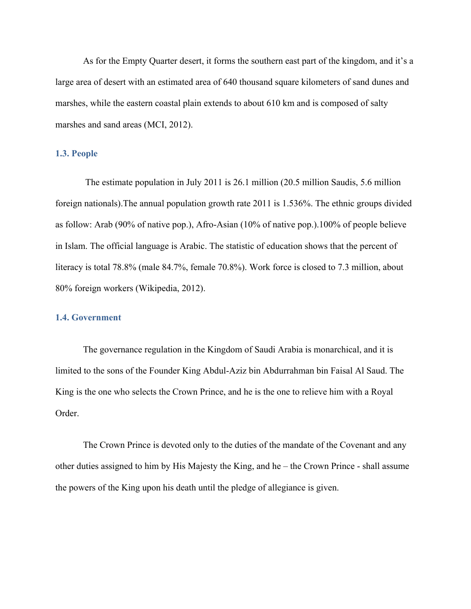As for the Empty Quarter desert, it forms the southern east part of the kingdom, and it's a large area of desert with an estimated area of 640 thousand square kilometers of sand dunes and marshes, while the eastern coastal plain extends to about 610 km and is composed of salty marshes and sand areas (MCI, 2012).

#### **1.3. People**

 The estimate population in July 2011 is 26.1 million (20.5 million Saudis, 5.6 million foreign nationals).The annual population growth rate 2011 is 1.536%. The ethnic groups divided as follow: Arab (90% of native pop.), Afro-Asian (10% of native pop.).100% of people believe in Islam. The official language is Arabic. The statistic of education shows that the percent of literacy is total 78.8% (male 84.7%, female 70.8%). Work force is closed to 7.3 million, about 80% foreign workers (Wikipedia, 2012).

#### **1.4. Government**

The governance regulation in the Kingdom of Saudi Arabia is monarchical, and it is limited to the sons of the Founder King Abdul-Aziz bin Abdurrahman bin Faisal Al Saud. The King is the one who selects the Crown Prince, and he is the one to relieve him with a Royal Order.

The Crown Prince is devoted only to the duties of the mandate of the Covenant and any other duties assigned to him by His Majesty the King, and he – the Crown Prince - shall assume the powers of the King upon his death until the pledge of allegiance is given.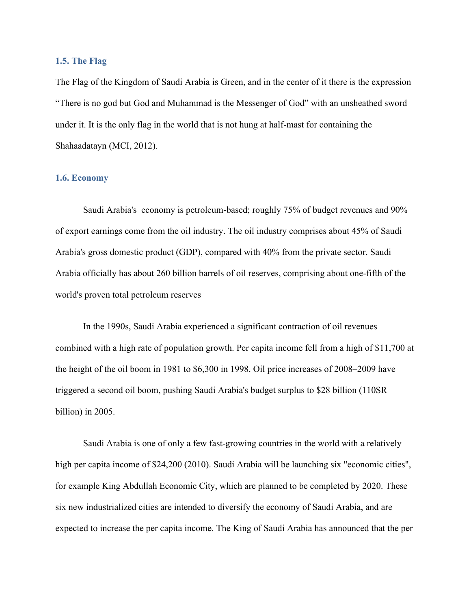#### **1.5. The Flag**

The Flag of the Kingdom of Saudi Arabia is Green, and in the center of it there is the expression "There is no god but God and Muhammad is the Messenger of God" with an unsheathed sword under it. It is the only flag in the world that is not hung at half-mast for containing the Shahaadatayn (MCI, 2012).

#### **1.6. Economy**

Saudi Arabia's economy is petroleum-based; roughly 75% of budget revenues and 90% of export earnings come from the oil industry. The oil industry comprises about 45% of Saudi Arabia's gross domestic product (GDP), compared with 40% from the private sector. Saudi Arabia officially has about 260 billion barrels of oil reserves, comprising about one-fifth of the world's proven total petroleum reserves

In the 1990s, Saudi Arabia experienced a significant contraction of oil revenues combined with a high rate of population growth. Per capita income fell from a high of \$11,700 at the height of the oil boom in 1981 to \$6,300 in 1998. Oil price increases of 2008–2009 have triggered a second oil boom, pushing Saudi Arabia's budget surplus to \$28 billion (110SR billion) in 2005.

Saudi Arabia is one of only a few fast-growing countries in the world with a relatively high per capita income of \$24,200 (2010). Saudi Arabia will be launching six "economic cities", for example King Abdullah Economic City, which are planned to be completed by 2020. These six new industrialized cities are intended to diversify the economy of Saudi Arabia, and are expected to increase the per capita income. The King of Saudi Arabia has announced that the per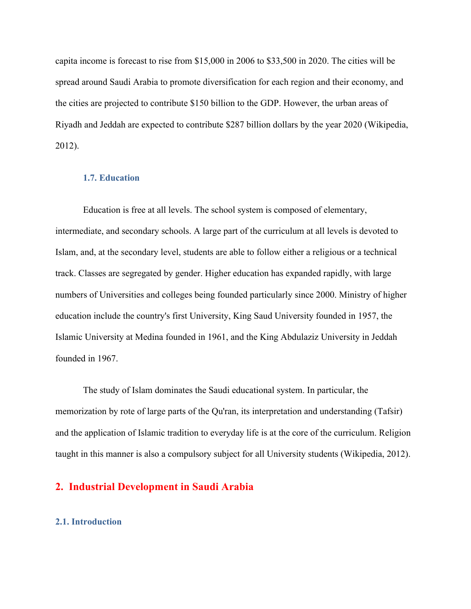capita income is forecast to rise from \$15,000 in 2006 to \$33,500 in 2020. The cities will be spread around Saudi Arabia to promote diversification for each region and their economy, and the cities are projected to contribute \$150 billion to the GDP. However, the urban areas of Riyadh and Jeddah are expected to contribute \$287 billion dollars by the year 2020 (Wikipedia, 2012).

#### **1.7. Education**

Education is free at all levels. The school system is composed of elementary, intermediate, and secondary schools. A large part of the curriculum at all levels is devoted to Islam, and, at the secondary level, students are able to follow either a religious or a technical track. Classes are segregated by gender. Higher education has expanded rapidly, with large numbers of Universities and colleges being founded particularly since 2000. Ministry of higher education include the country's first University, King Saud University founded in 1957, the Islamic University at Medina founded in 1961, and the King Abdulaziz University in Jeddah founded in 1967.

The study of Islam dominates the Saudi educational system. In particular, the memorization by rote of large parts of the Qu'ran, its interpretation and understanding (Tafsir) and the application of Islamic tradition to everyday life is at the core of the curriculum. Religion taught in this manner is also a compulsory subject for all University students (Wikipedia, 2012).

#### **2. Industrial Development in Saudi Arabia**

#### **2.1. Introduction**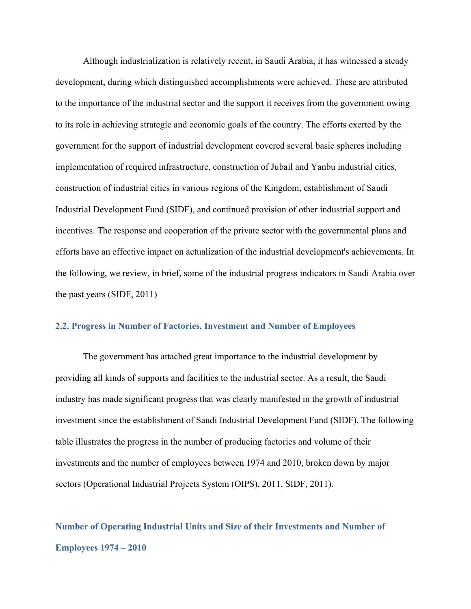Although industrialization is relatively recent, in Saudi Arabia, it has witnessed a steady development, during which distinguished accomplishments were achieved. These are attributed to the importance of the industrial sector and the support it receives from the government owing to its role in achieving strategic and economic goals of the country. The efforts exerted by the government for the support of industrial development covered several basic spheres including implementation of required infrastructure, construction of Jubail and Yanbu industrial cities, construction of industrial cities in various regions of the Kingdom, establishment of Saudi Industrial Development Fund (SIDF), and continued provision of other industrial support and incentives. The response and cooperation of the private sector with the governmental plans and efforts have an effective impact on actualization of the industrial development's achievements. In the following, we review, in brief, some of the industrial progress indicators in Saudi Arabia over the past years (SIDF, 2011)

#### **2.2. Progress in Number of Factories, Investment and Number of Employees**

The government has attached great importance to the industrial development by providing all kinds of supports and facilities to the industrial sector. As a result, the Saudi industry has made significant progress that was clearly manifested in the growth of industrial investment since the establishment of Saudi Industrial Development Fund (SIDF). The following table illustrates the progress in the number of producing factories and volume of their investments and the number of employees between 1974 and 2010, broken down by major sectors (Operational Industrial Projects System (OIPS), 2011, SIDF, 2011).

# **Number of Operating Industrial Units and Size of their Investments and Number of Employees 1974 – 2010**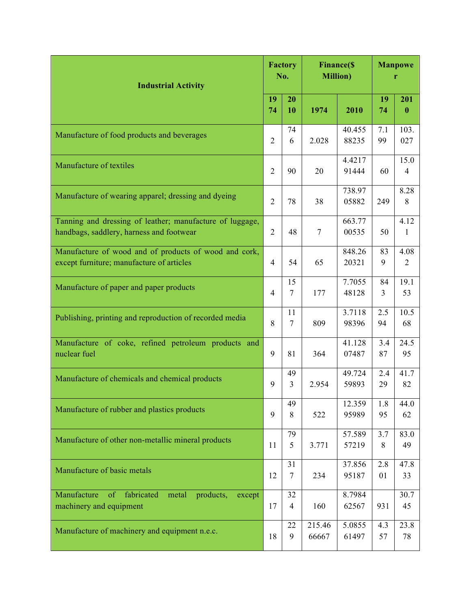| <b>Industrial Activity</b>                                                                           |                | <b>Factory</b><br>No. | <b>Finance</b> (\$<br><b>Million</b> ) |                 | <b>Manpowe</b><br>r  |                 |
|------------------------------------------------------------------------------------------------------|----------------|-----------------------|----------------------------------------|-----------------|----------------------|-----------------|
|                                                                                                      |                | 20<br>10              | 1974                                   | 2010            | 19<br>74             | 201<br>$\bf{0}$ |
| Manufacture of food products and beverages                                                           | $\overline{2}$ | 74<br>6               | 2.028                                  | 40.455<br>88235 | 7.1<br>99            | 103.<br>027     |
| Manufacture of textiles                                                                              | $\overline{2}$ | 90                    | 20                                     | 4.4217<br>91444 | 60                   | 15.0<br>4       |
| Manufacture of wearing apparel; dressing and dyeing                                                  | $\overline{2}$ | 78                    | 38                                     | 738.97<br>05882 | 249                  | 8.28<br>8       |
| Tanning and dressing of leather; manufacture of luggage,<br>handbags, saddlery, harness and footwear | $\overline{2}$ | 48                    | 7                                      | 663.77<br>00535 | 50                   | 4.12<br>1       |
| Manufacture of wood and of products of wood and cork,<br>except furniture; manufacture of articles   |                | 54                    | 65                                     | 848.26<br>20321 | 83<br>9              | 4.08<br>2       |
| Manufacture of paper and paper products                                                              | 4              | 15<br>$\tau$          | 177                                    | 7.7055<br>48128 | 84<br>$\overline{3}$ | 19.1<br>53      |
| Publishing, printing and reproduction of recorded media                                              | 8              | 11<br>7               | 809                                    | 3.7118<br>98396 | 2.5<br>94            | 10.5<br>68      |
| Manufacture of coke, refined petroleum products and<br>nuclear fuel                                  | 9              | 81                    | 364                                    | 41.128<br>07487 | 3.4<br>87            | 24.5<br>95      |
| Manufacture of chemicals and chemical products                                                       | 9              | 49<br>3               | 2.954                                  | 49.724<br>59893 | 2.4<br>29            | 41.7<br>82      |
| Manufacture of rubber and plastics products                                                          | 9              | 49<br>8               | 522                                    | 12.359<br>95989 | 1.8<br>95            | 44.0<br>62      |
| Manufacture of other non-metallic mineral products                                                   |                | 79<br>5               | 3.771                                  | 57.589<br>57219 | 3.7<br>8             | 83.0<br>49      |
| Manufacture of basic metals                                                                          | 12             | 31<br>7               | 234                                    | 37.856<br>95187 | 2.8<br>01            | 47.8<br>33      |
| Manufacture<br>fabricated<br>of<br>metal<br>products,<br>except<br>machinery and equipment           | 17             | 32<br>4               | 160                                    | 8.7984<br>62567 | 931                  | 30.7<br>45      |
| Manufacture of machinery and equipment n.e.c.                                                        |                | 22<br>9               | 215.46<br>66667                        | 5.0855<br>61497 | 4.3<br>57            | 23.8<br>78      |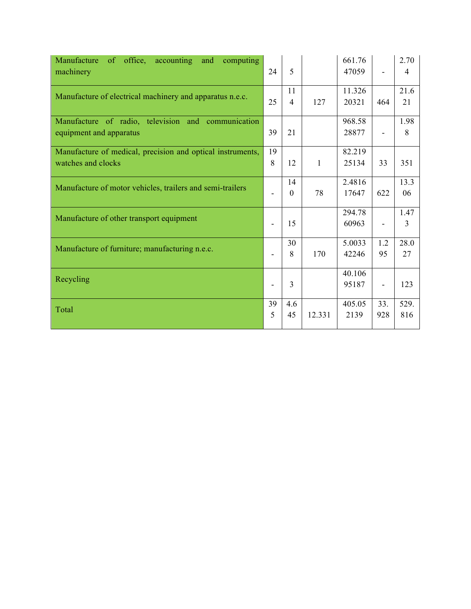| office, accounting<br>Manufacture<br>computing<br>of<br>and<br>machinery | 24             | 5                    |              | 661.76<br>47059 |     | 2.70<br>4      |
|--------------------------------------------------------------------------|----------------|----------------------|--------------|-----------------|-----|----------------|
| Manufacture of electrical machinery and apparatus n.e.c.                 | 25             | 11<br>$\overline{4}$ | 127          | 11.326<br>20321 | 464 | 21.6<br>21     |
|                                                                          |                |                      |              |                 |     |                |
| Manufacture of radio, television and communication                       |                |                      |              | 968.58          |     | 1.98           |
| equipment and apparatus                                                  | 39             | 21                   |              | 28877           |     | 8              |
| Manufacture of medical, precision and optical instruments,               | 19             |                      |              | 82.219          |     |                |
| watches and clocks                                                       | 8              | 12                   | $\mathbf{1}$ | 25134           | 33  | 351            |
|                                                                          |                | 14                   |              | 2.4816          |     | 13.3           |
| Manufacture of motor vehicles, trailers and semi-trailers                |                | $\overline{0}$       | 78           | 17647           | 622 | 06             |
| Manufacture of other transport equipment                                 |                |                      |              | 294.78          |     | 1.47           |
|                                                                          | $\blacksquare$ | 15                   |              | 60963           |     | $\overline{3}$ |
|                                                                          |                | 30                   |              | 5.0033          | 1.2 | 28.0           |
| Manufacture of furniture; manufacturing n.e.c.                           |                | 8                    | 170          | 42246           | 95  | 27             |
|                                                                          |                |                      |              | 40.106          |     |                |
| Recycling                                                                |                | $\overline{3}$       |              | 95187           |     | 123            |
| Total                                                                    | 39             | 4.6                  |              | 405.05          | 33. | 529.           |
|                                                                          | 5              | 45                   | 12.331       | 2139            | 928 | 816            |
|                                                                          |                |                      |              |                 |     |                |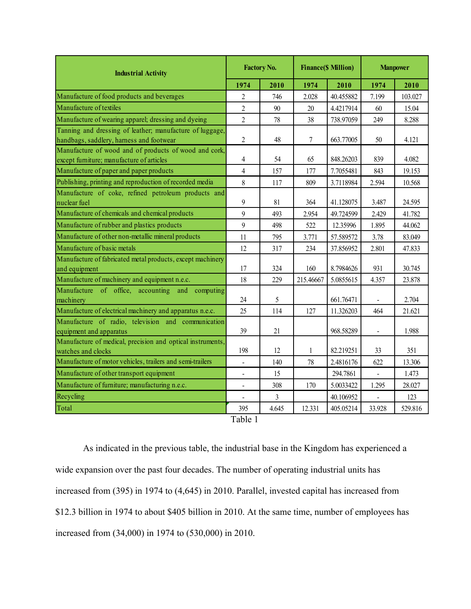| <b>Industrial Activity</b>                                                                           |                | <b>Factory No.</b> |              | <b>Finance(\$ Million)</b> | <b>Manpower</b> |         |
|------------------------------------------------------------------------------------------------------|----------------|--------------------|--------------|----------------------------|-----------------|---------|
|                                                                                                      |                | 2010               | 1974         | 2010                       | 1974            | 2010    |
| Manufacture of food products and beverages                                                           | $\overline{2}$ | 746                | 2.028        | 40.455882                  | 7.199           | 103.027 |
| Manufacture of textiles                                                                              | $\overline{2}$ | 90                 | 20           | 4.4217914                  | 60              | 15.04   |
| Manufacture of wearing apparel; dressing and dyeing                                                  | $\overline{2}$ | 78                 | 38           | 738.97059                  | 249             | 8.288   |
| Tanning and dressing of leather; manufacture of luggage,<br>handbags, saddlery, harness and footwear | $\overline{2}$ | 48                 | 7            | 663.77005                  | 50              | 4.121   |
| Manufacture of wood and of products of wood and cork,<br>except furniture; manufacture of articles   | 4              | 54                 | 65           | 848.26203                  | 839             | 4.082   |
| Manufacture of paper and paper products                                                              | $\overline{4}$ | 157                | 177          | 7.7055481                  | 843             | 19.153  |
| Publishing, printing and reproduction of recorded media                                              | 8              | 117                | 809          | 3.7118984                  | 2.594           | 10.568  |
| Manufacture of coke, refined petroleum products and<br>nuclear fuel                                  | 9              | 81                 | 364          | 41.128075                  | 3.487           | 24.595  |
| Manufacture of chemicals and chemical products                                                       | 9              | 493                | 2.954        | 49.724599                  | 2.429           | 41.782  |
| Manufacture of rubber and plastics products                                                          | 9              | 498                | 522          | 12.35996                   | 1.895           | 44.062  |
| Manufacture of other non-metallic mineral products                                                   | 11             | 795                | 3.771        | 57.589572                  | 3.78            | 83.049  |
| Manufacture of basic metals                                                                          | 12             | 317                | 234          | 37.856952                  | 2.801           | 47.833  |
| Manufacture of fabricated metal products, except machinery<br>and equipment                          | 17             | 324                | 160          | 8.7984626                  | 931             | 30.745  |
| Manufacture of machinery and equipment n.e.c.                                                        | 18             | 229                | 215.46667    | 5.0855615                  | 4.357           | 23.878  |
| Manufacture of office, accounting and computing<br>machinery                                         | 24             | 5                  |              | 661.76471                  | $\blacksquare$  | 2.704   |
| Manufacture of electrical machinery and apparatus n.e.c.                                             | 25             | 114                | 127          | 11.326203                  | 464             | 21.621  |
| Manufacture of radio, television and communication<br>equipment and apparatus                        | 39             | 21                 |              | 968.58289                  | $\blacksquare$  | 1.988   |
| Manufacture of medical, precision and optical instruments,<br>watches and clocks                     | 198            | 12                 | $\mathbf{1}$ | 82.219251                  | 33              | 351     |
| Manufacture of motor vehicles, trailers and semi-trailers                                            | $\blacksquare$ | 140                | 78           | 2.4816176                  | 622             | 13.306  |
| Manufacture of other transport equipment                                                             | $\blacksquare$ | 15                 |              | 294.7861                   | $\mathbf{r}$    | 1.473   |
| Manufacture of furniture; manufacturing n.e.c.                                                       | $\frac{1}{2}$  | 308                | 170          | 5.0033422                  | 1.295           | 28.027  |
| Recycling                                                                                            |                | $\overline{3}$     |              | 40.106952                  |                 | 123     |
| Total                                                                                                | 395            | 4.645              | 12.331       | 405.05214                  | 33.928          | 529.816 |

Table 1

As indicated in the previous table, the industrial base in the Kingdom has experienced a wide expansion over the past four decades. The number of operating industrial units has increased from (395) in 1974 to (4,645) in 2010. Parallel, invested capital has increased from \$12.3 billion in 1974 to about \$405 billion in 2010. At the same time, number of employees has increased from (34,000) in 1974 to (530,000) in 2010.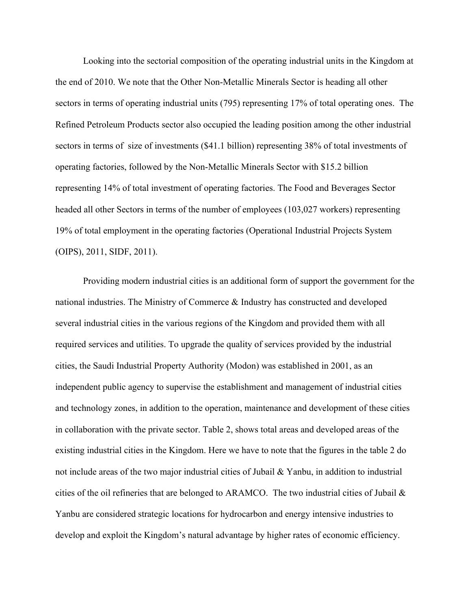Looking into the sectorial composition of the operating industrial units in the Kingdom at the end of 2010. We note that the Other Non-Metallic Minerals Sector is heading all other sectors in terms of operating industrial units (795) representing 17% of total operating ones. The Refined Petroleum Products sector also occupied the leading position among the other industrial sectors in terms of size of investments (\$41.1 billion) representing 38% of total investments of operating factories, followed by the Non-Metallic Minerals Sector with \$15.2 billion representing 14% of total investment of operating factories. The Food and Beverages Sector headed all other Sectors in terms of the number of employees (103,027 workers) representing 19% of total employment in the operating factories (Operational Industrial Projects System (OIPS), 2011, SIDF, 2011).

Providing modern industrial cities is an additional form of support the government for the national industries. The Ministry of Commerce & Industry has constructed and developed several industrial cities in the various regions of the Kingdom and provided them with all required services and utilities. To upgrade the quality of services provided by the industrial cities, the Saudi Industrial Property Authority (Modon) was established in 2001, as an independent public agency to supervise the establishment and management of industrial cities and technology zones, in addition to the operation, maintenance and development of these cities in collaboration with the private sector. Table 2, shows total areas and developed areas of the existing industrial cities in the Kingdom. Here we have to note that the figures in the table 2 do not include areas of the two major industrial cities of Jubail & Yanbu, in addition to industrial cities of the oil refineries that are belonged to ARAMCO. The two industrial cities of Jubail  $\&$ Yanbu are considered strategic locations for hydrocarbon and energy intensive industries to develop and exploit the Kingdom's natural advantage by higher rates of economic efficiency.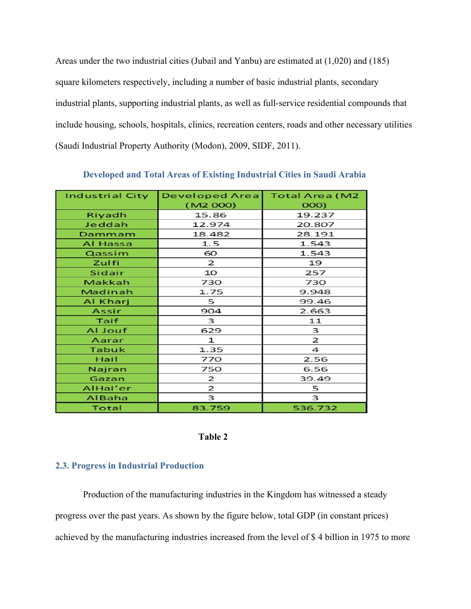Areas under the two industrial cities (Jubail and Yanbu) are estimated at (1,020) and (185) square kilometers respectively, including a number of basic industrial plants, secondary industrial plants, supporting industrial plants, as well as full-service residential compounds that include housing, schools, hospitals, clinics, recreation centers, roads and other necessary utilities (Saudi Industrial Property Authority (Modon), 2009, SIDF, 2011).

| <b>Industrial City</b> | <b>Developed Area</b> | <b>Total Area (M2</b> |
|------------------------|-----------------------|-----------------------|
|                        | (M2 000)              | 000)                  |
| Riyadh                 | 15.86                 | 19.237                |
| Jeddah                 | 12.974                | 20.807                |
| Dammam                 | 18.482                | 28.191                |
| Al Hassa               | 1.5                   | 1.543                 |
| Qassim                 | 60                    | 1.543                 |
| Zulfi                  | $\mathbf{z}$          | 19                    |
| Sidair                 | 10                    | 257                   |
| Makkah                 | 730                   | 730                   |
| Madinah                | 1.75                  | 9.948                 |
| Al Kharj               | 5                     | 99.46                 |
| Assir                  | 904                   | 2.663                 |
| Taif                   | 3                     | 11                    |
| Al Jouf                | 629                   | 3                     |
| Aarar                  | 1                     | 2                     |
| <b>Tabuk</b>           | 1.35                  | 4                     |
| Hail                   | 770                   | 2.56                  |
| Najran                 | 750                   | 6.56                  |
| Gazan                  | 2                     | 39.49                 |
| AlHai'er               | $\mathbf{z}$          | 5                     |
| AlBaha                 | 3                     | 3                     |
| Total                  | 83.759                | 536.732               |

**Developed and Total Areas of Existing Industrial Cities in Saudi Arabia**

#### **Table 2**

#### **2.3. Progress in Industrial Production**

Production of the manufacturing industries in the Kingdom has witnessed a steady progress over the past years. As shown by the figure below, total GDP (in constant prices) achieved by the manufacturing industries increased from the level of \$ 4 billion in 1975 to more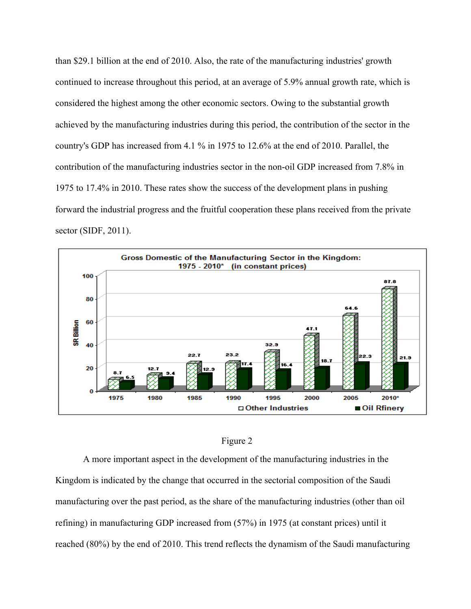than \$29.1 billion at the end of 2010. Also, the rate of the manufacturing industries' growth continued to increase throughout this period, at an average of 5.9% annual growth rate, which is considered the highest among the other economic sectors. Owing to the substantial growth achieved by the manufacturing industries during this period, the contribution of the sector in the country's GDP has increased from 4.1 % in 1975 to 12.6% at the end of 2010. Parallel, the contribution of the manufacturing industries sector in the non-oil GDP increased from 7.8% in 1975 to 17.4% in 2010. These rates show the success of the development plans in pushing forward the industrial progress and the fruitful cooperation these plans received from the private sector (SIDF, 2011).





A more important aspect in the development of the manufacturing industries in the Kingdom is indicated by the change that occurred in the sectorial composition of the Saudi manufacturing over the past period, as the share of the manufacturing industries (other than oil refining) in manufacturing GDP increased from (57%) in 1975 (at constant prices) until it reached (80%) by the end of 2010. This trend reflects the dynamism of the Saudi manufacturing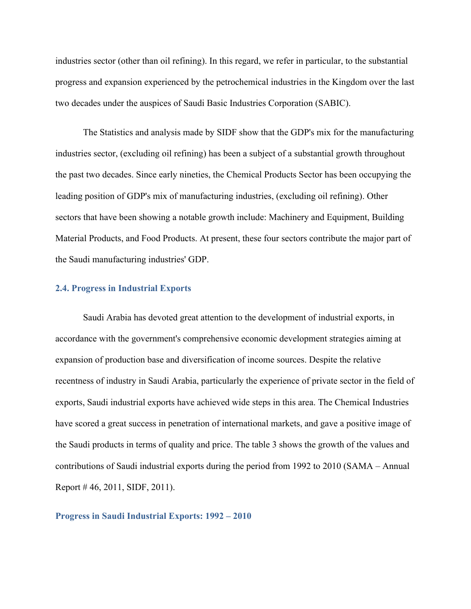industries sector (other than oil refining). In this regard, we refer in particular, to the substantial progress and expansion experienced by the petrochemical industries in the Kingdom over the last two decades under the auspices of Saudi Basic Industries Corporation (SABIC).

The Statistics and analysis made by SIDF show that the GDP's mix for the manufacturing industries sector, (excluding oil refining) has been a subject of a substantial growth throughout the past two decades. Since early nineties, the Chemical Products Sector has been occupying the leading position of GDP's mix of manufacturing industries, (excluding oil refining). Other sectors that have been showing a notable growth include: Machinery and Equipment, Building Material Products, and Food Products. At present, these four sectors contribute the major part of the Saudi manufacturing industries' GDP.

#### **2.4. Progress in Industrial Exports**

Saudi Arabia has devoted great attention to the development of industrial exports, in accordance with the government's comprehensive economic development strategies aiming at expansion of production base and diversification of income sources. Despite the relative recentness of industry in Saudi Arabia, particularly the experience of private sector in the field of exports, Saudi industrial exports have achieved wide steps in this area. The Chemical Industries have scored a great success in penetration of international markets, and gave a positive image of the Saudi products in terms of quality and price. The table 3 shows the growth of the values and contributions of Saudi industrial exports during the period from 1992 to 2010 (SAMA – Annual Report # 46, 2011, SIDF, 2011).

#### **Progress in Saudi Industrial Exports: 1992 – 2010**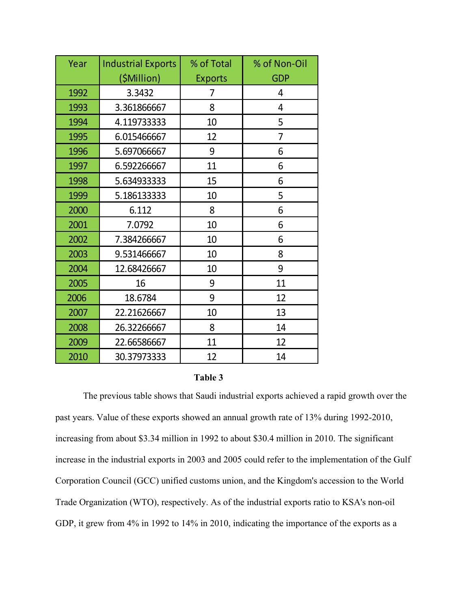| Year | <b>Industrial Exports</b> | % of Total     | % of Non-Oil |
|------|---------------------------|----------------|--------------|
|      | (\$Million)               | <b>Exports</b> | <b>GDP</b>   |
| 1992 | 3.3432                    | 7              | 4            |
| 1993 | 3.361866667               | 8              | 4            |
| 1994 | 4.119733333               | 10             | 5            |
| 1995 | 6.015466667               | 12             | 7            |
| 1996 | 5.697066667               | 9              | 6            |
| 1997 | 6.592266667               | 11             | 6            |
| 1998 | 5.634933333               | 15             | 6            |
| 1999 | 5.186133333               | 10             | 5            |
| 2000 | 6.112                     | 8              | 6            |
| 2001 | 7.0792                    | 10             | 6            |
| 2002 | 7.384266667               | 10             | 6            |
| 2003 | 9.531466667               | 10             | 8            |
| 2004 | 12.68426667               | 10             | 9            |
| 2005 | 16                        | 9              | 11           |
| 2006 | 18.6784                   | 9              | 12           |
| 2007 | 22.21626667               | 10             | 13           |
| 2008 | 26.32266667               | 8              | 14           |
| 2009 | 22.66586667               | 11             | 12           |
| 2010 | 30.37973333               | 12             | 14           |

#### **Table 3**

The previous table shows that Saudi industrial exports achieved a rapid growth over the past years. Value of these exports showed an annual growth rate of 13% during 1992-2010, increasing from about \$3.34 million in 1992 to about \$30.4 million in 2010. The significant increase in the industrial exports in 2003 and 2005 could refer to the implementation of the Gulf Corporation Council (GCC) unified customs union, and the Kingdom's accession to the World Trade Organization (WTO), respectively. As of the industrial exports ratio to KSA's non-oil GDP, it grew from 4% in 1992 to 14% in 2010, indicating the importance of the exports as a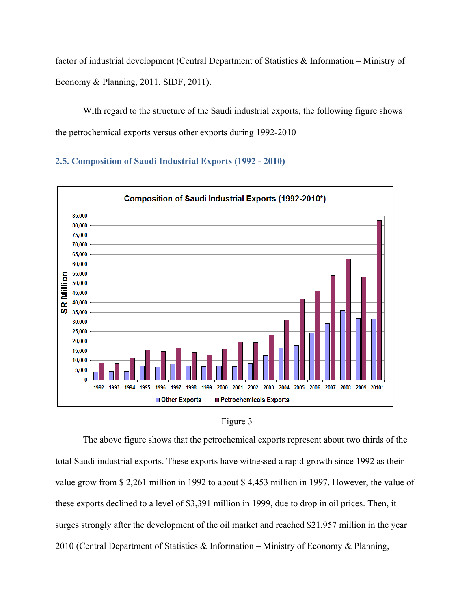factor of industrial development (Central Department of Statistics & Information – Ministry of Economy & Planning, 2011, SIDF, 2011).

With regard to the structure of the Saudi industrial exports, the following figure shows the petrochemical exports versus other exports during 1992-2010

#### **2.5. Composition of Saudi Industrial Exports (1992 - 2010)**





The above figure shows that the petrochemical exports represent about two thirds of the total Saudi industrial exports. These exports have witnessed a rapid growth since 1992 as their value grow from \$ 2,261 million in 1992 to about \$ 4,453 million in 1997. However, the value of these exports declined to a level of \$3,391 million in 1999, due to drop in oil prices. Then, it surges strongly after the development of the oil market and reached \$21,957 million in the year 2010 (Central Department of Statistics & Information – Ministry of Economy & Planning,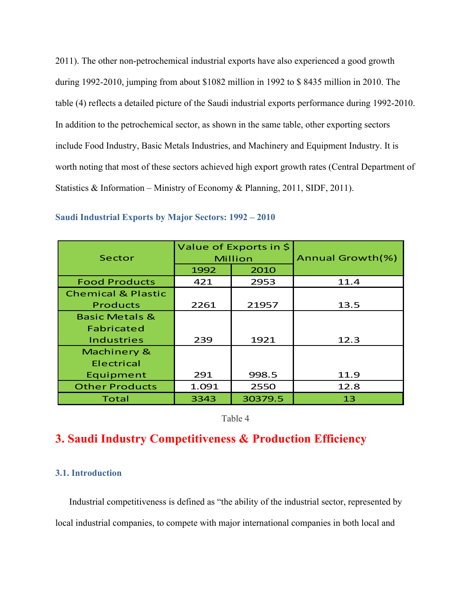2011). The other non-petrochemical industrial exports have also experienced a good growth during 1992-2010, jumping from about \$1082 million in 1992 to \$ 8435 million in 2010. The table (4) reflects a detailed picture of the Saudi industrial exports performance during 1992-2010. In addition to the petrochemical sector, as shown in the same table, other exporting sectors include Food Industry, Basic Metals Industries, and Machinery and Equipment Industry. It is worth noting that most of these sectors achieved high export growth rates (Central Department of Statistics & Information – Ministry of Economy & Planning, 2011, SIDF, 2011).

| Sector                        |         | Value of Exports in \$ | Annual Growth(%) |
|-------------------------------|---------|------------------------|------------------|
|                               | Million |                        |                  |
|                               | 1992    | 2010                   |                  |
| <b>Food Products</b>          | 421     | 2953                   | 11.4             |
| <b>Chemical &amp; Plastic</b> |         |                        |                  |
| <b>Products</b>               | 2261    | 21957                  | 13.5             |
| <b>Basic Metals &amp;</b>     |         |                        |                  |
| Fabricated                    |         |                        |                  |
| <b>Industries</b>             | 239     | 1921                   | 12.3             |
| Machinery &                   |         |                        |                  |
| Electrical                    |         |                        |                  |
| Equipment                     | 291     | 998.5                  | 11.9             |
| <b>Other Products</b>         | 1.091   | 2550                   | 12.8             |
| Total                         | 3343    | 30379.5                | 13               |

#### **Saudi Industrial Exports by Major Sectors: 1992 – 2010**

Table 4

## **3. Saudi Industry Competitiveness & Production Efficiency**

#### **3.1. Introduction**

Industrial competitiveness is defined as "the ability of the industrial sector, represented by local industrial companies, to compete with major international companies in both local and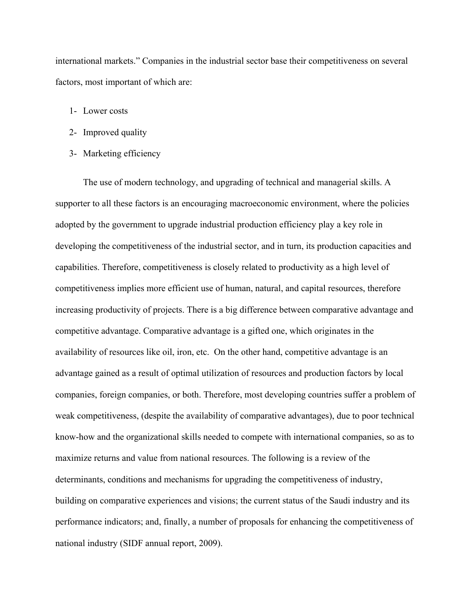international markets." Companies in the industrial sector base their competitiveness on several factors, most important of which are:

- 1- Lower costs
- 2- Improved quality
- 3- Marketing efficiency

 The use of modern technology, and upgrading of technical and managerial skills. A supporter to all these factors is an encouraging macroeconomic environment, where the policies adopted by the government to upgrade industrial production efficiency play a key role in developing the competitiveness of the industrial sector, and in turn, its production capacities and capabilities. Therefore, competitiveness is closely related to productivity as a high level of competitiveness implies more efficient use of human, natural, and capital resources, therefore increasing productivity of projects. There is a big difference between comparative advantage and competitive advantage. Comparative advantage is a gifted one, which originates in the availability of resources like oil, iron, etc. On the other hand, competitive advantage is an advantage gained as a result of optimal utilization of resources and production factors by local companies, foreign companies, or both. Therefore, most developing countries suffer a problem of weak competitiveness, (despite the availability of comparative advantages), due to poor technical know-how and the organizational skills needed to compete with international companies, so as to maximize returns and value from national resources. The following is a review of the determinants, conditions and mechanisms for upgrading the competitiveness of industry, building on comparative experiences and visions; the current status of the Saudi industry and its performance indicators; and, finally, a number of proposals for enhancing the competitiveness of national industry (SIDF annual report, 2009).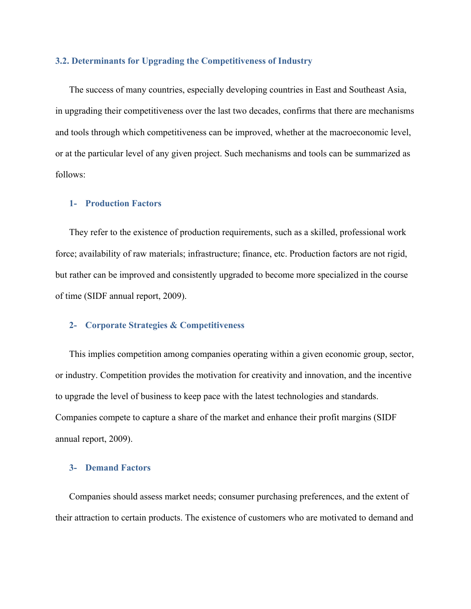#### **3.2. Determinants for Upgrading the Competitiveness of Industry**

The success of many countries, especially developing countries in East and Southeast Asia, in upgrading their competitiveness over the last two decades, confirms that there are mechanisms and tools through which competitiveness can be improved, whether at the macroeconomic level, or at the particular level of any given project. Such mechanisms and tools can be summarized as follows:

#### **1- Production Factors**

They refer to the existence of production requirements, such as a skilled, professional work force; availability of raw materials; infrastructure; finance, etc. Production factors are not rigid, but rather can be improved and consistently upgraded to become more specialized in the course of time (SIDF annual report, 2009).

#### **2- Corporate Strategies & Competitiveness**

This implies competition among companies operating within a given economic group, sector, or industry. Competition provides the motivation for creativity and innovation, and the incentive to upgrade the level of business to keep pace with the latest technologies and standards. Companies compete to capture a share of the market and enhance their profit margins (SIDF annual report, 2009).

#### **3- Demand Factors**

Companies should assess market needs; consumer purchasing preferences, and the extent of their attraction to certain products. The existence of customers who are motivated to demand and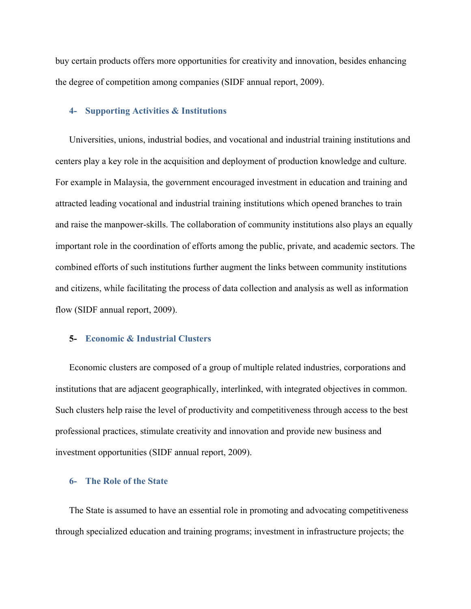buy certain products offers more opportunities for creativity and innovation, besides enhancing the degree of competition among companies (SIDF annual report, 2009).

#### **4- Supporting Activities & Institutions**

Universities, unions, industrial bodies, and vocational and industrial training institutions and centers play a key role in the acquisition and deployment of production knowledge and culture. For example in Malaysia, the government encouraged investment in education and training and attracted leading vocational and industrial training institutions which opened branches to train and raise the manpower-skills. The collaboration of community institutions also plays an equally important role in the coordination of efforts among the public, private, and academic sectors. The combined efforts of such institutions further augment the links between community institutions and citizens, while facilitating the process of data collection and analysis as well as information flow (SIDF annual report, 2009).

#### **5- Economic & Industrial Clusters**

Economic clusters are composed of a group of multiple related industries, corporations and institutions that are adjacent geographically, interlinked, with integrated objectives in common. Such clusters help raise the level of productivity and competitiveness through access to the best professional practices, stimulate creativity and innovation and provide new business and investment opportunities (SIDF annual report, 2009).

#### **6- The Role of the State**

The State is assumed to have an essential role in promoting and advocating competitiveness through specialized education and training programs; investment in infrastructure projects; the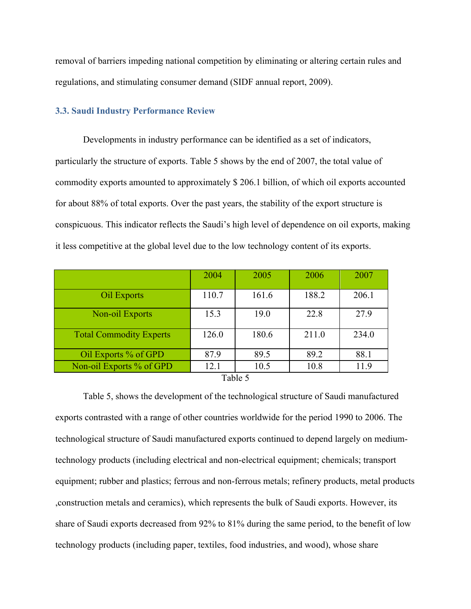removal of barriers impeding national competition by eliminating or altering certain rules and regulations, and stimulating consumer demand (SIDF annual report, 2009).

#### **3.3. Saudi Industry Performance Review**

Developments in industry performance can be identified as a set of indicators, particularly the structure of exports. Table 5 shows by the end of 2007, the total value of commodity exports amounted to approximately \$ 206.1 billion, of which oil exports accounted for about 88% of total exports. Over the past years, the stability of the export structure is conspicuous. This indicator reflects the Saudi's high level of dependence on oil exports, making it less competitive at the global level due to the low technology content of its exports.

|                                | 2004  | 2005  | 2006  | 2007  |
|--------------------------------|-------|-------|-------|-------|
| Oil Exports                    | 110.7 | 161.6 | 188.2 | 206.1 |
| Non-oil Exports                | 15.3  | 19.0  | 22.8  | 27.9  |
| <b>Total Commodity Experts</b> | 126.0 | 180.6 | 211.0 | 234.0 |
| Oil Exports % of GPD           | 87.9  | 89.5  | 89.2  | 88.1  |
| Non-oil Exports % of GPD       | 12.1  | 10.5  | 10.8  | 11.9  |

Table 5

Table 5, shows the development of the technological structure of Saudi manufactured exports contrasted with a range of other countries worldwide for the period 1990 to 2006. The technological structure of Saudi manufactured exports continued to depend largely on mediumtechnology products (including electrical and non-electrical equipment; chemicals; transport equipment; rubber and plastics; ferrous and non-ferrous metals; refinery products, metal products ,construction metals and ceramics), which represents the bulk of Saudi exports. However, its share of Saudi exports decreased from 92% to 81% during the same period, to the benefit of low technology products (including paper, textiles, food industries, and wood), whose share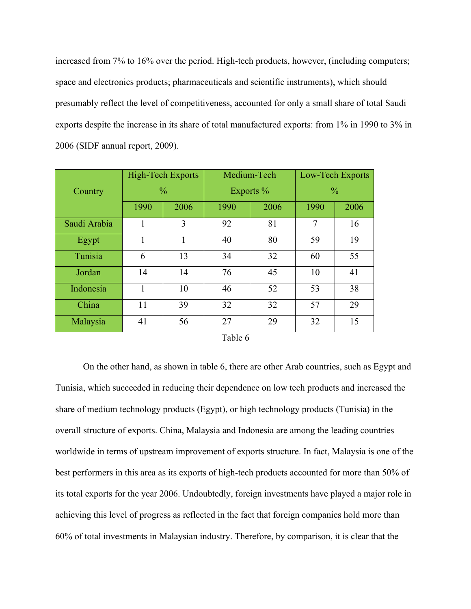increased from 7% to 16% over the period. High-tech products, however, (including computers; space and electronics products; pharmaceuticals and scientific instruments), which should presumably reflect the level of competitiveness, accounted for only a small share of total Saudi exports despite the increase in its share of total manufactured exports: from 1% in 1990 to 3% in 2006 (SIDF annual report, 2009).

|              | <b>High-Tech Exports</b> |               | Medium-Tech |      | Low-Tech Exports |      |
|--------------|--------------------------|---------------|-------------|------|------------------|------|
| Country      |                          | $\frac{0}{0}$ | Exports $%$ |      | $\frac{0}{0}$    |      |
|              | 1990                     | 2006          | 1990        | 2006 | 1990             | 2006 |
| Saudi Arabia | 1                        | 3             | 92          | 81   | 7                | 16   |
| Egypt        | 1                        | 1             | 40          | 80   | 59               | 19   |
| Tunisia      | 6                        | 13            | 34          | 32   | 60               | 55   |
| Jordan       | 14                       | 14            | 76          | 45   | 10               | 41   |
| Indonesia    | 1                        | 10            | 46          | 52   | 53               | 38   |
| China        | 11                       | 39            | 32          | 32   | 57               | 29   |
| Malaysia     | 41                       | 56            | 27          | 29   | 32               | 15   |
|              |                          |               | Table 6     |      |                  |      |

On the other hand, as shown in table 6, there are other Arab countries, such as Egypt and Tunisia, which succeeded in reducing their dependence on low tech products and increased the share of medium technology products (Egypt), or high technology products (Tunisia) in the overall structure of exports. China, Malaysia and Indonesia are among the leading countries worldwide in terms of upstream improvement of exports structure. In fact, Malaysia is one of the best performers in this area as its exports of high-tech products accounted for more than 50% of its total exports for the year 2006. Undoubtedly, foreign investments have played a major role in achieving this level of progress as reflected in the fact that foreign companies hold more than 60% of total investments in Malaysian industry. Therefore, by comparison, it is clear that the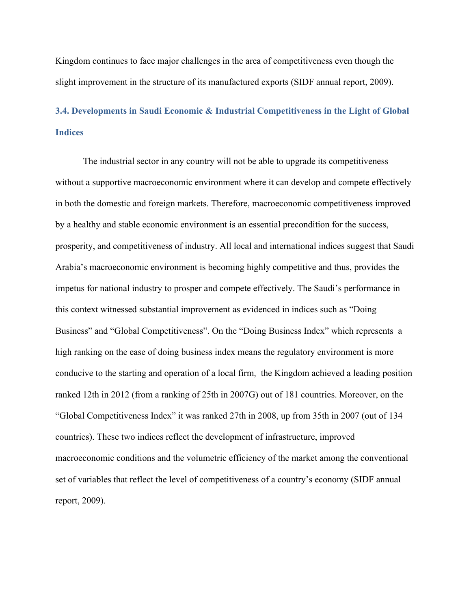Kingdom continues to face major challenges in the area of competitiveness even though the slight improvement in the structure of its manufactured exports (SIDF annual report, 2009).

# **3.4. Developments in Saudi Economic & Industrial Competitiveness in the Light of Global Indices**

The industrial sector in any country will not be able to upgrade its competitiveness without a supportive macroeconomic environment where it can develop and compete effectively in both the domestic and foreign markets. Therefore, macroeconomic competitiveness improved by a healthy and stable economic environment is an essential precondition for the success, prosperity, and competitiveness of industry. All local and international indices suggest that Saudi Arabia's macroeconomic environment is becoming highly competitive and thus, provides the impetus for national industry to prosper and compete effectively. The Saudi's performance in this context witnessed substantial improvement as evidenced in indices such as "Doing Business" and "Global Competitiveness". On the "Doing Business Index" which represents a high ranking on the ease of doing business index means the regulatory environment is more conducive to the starting and operation of a local firm, the Kingdom achieved a leading position ranked 12th in 2012 (from a ranking of 25th in 2007G) out of 181 countries. Moreover, on the "Global Competitiveness Index" it was ranked 27th in 2008, up from 35th in 2007 (out of 134 countries). These two indices reflect the development of infrastructure, improved macroeconomic conditions and the volumetric efficiency of the market among the conventional set of variables that reflect the level of competitiveness of a country's economy (SIDF annual report, 2009).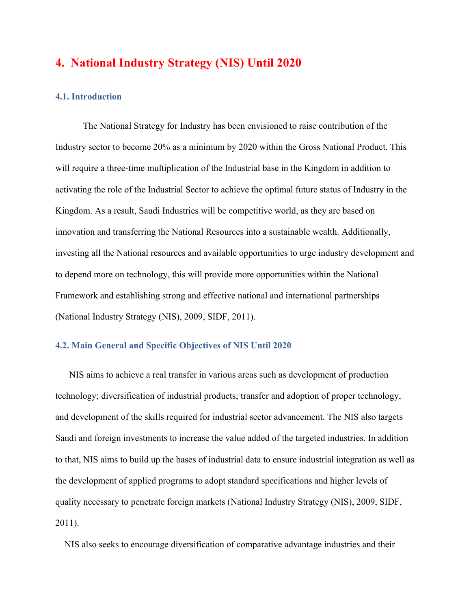## **4. National Industry Strategy (NIS) Until 2020**

#### **4.1. Introduction**

The National Strategy for Industry has been envisioned to raise contribution of the Industry sector to become 20% as a minimum by 2020 within the Gross National Product. This will require a three-time multiplication of the Industrial base in the Kingdom in addition to activating the role of the Industrial Sector to achieve the optimal future status of Industry in the Kingdom. As a result, Saudi Industries will be competitive world, as they are based on innovation and transferring the National Resources into a sustainable wealth. Additionally, investing all the National resources and available opportunities to urge industry development and to depend more on technology, this will provide more opportunities within the National Framework and establishing strong and effective national and international partnerships (National Industry Strategy (NIS), 2009, SIDF, 2011).

#### **4.2. Main General and Specific Objectives of NIS Until 2020**

NIS aims to achieve a real transfer in various areas such as development of production technology; diversification of industrial products; transfer and adoption of proper technology, and development of the skills required for industrial sector advancement. The NIS also targets Saudi and foreign investments to increase the value added of the targeted industries. In addition to that, NIS aims to build up the bases of industrial data to ensure industrial integration as well as the development of applied programs to adopt standard specifications and higher levels of quality necessary to penetrate foreign markets (National Industry Strategy (NIS), 2009, SIDF, 2011).

NIS also seeks to encourage diversification of comparative advantage industries and their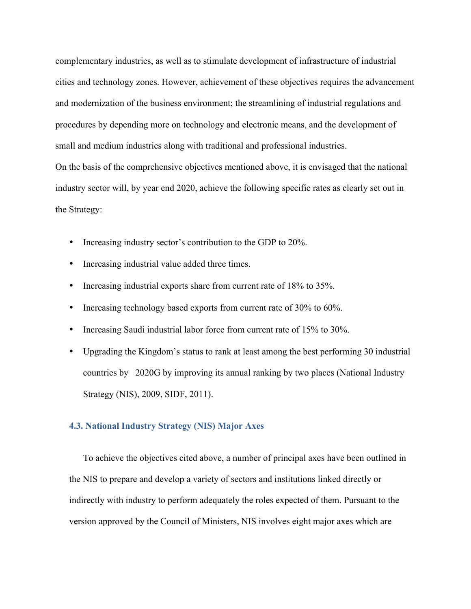complementary industries, as well as to stimulate development of infrastructure of industrial cities and technology zones. However, achievement of these objectives requires the advancement and modernization of the business environment; the streamlining of industrial regulations and procedures by depending more on technology and electronic means, and the development of small and medium industries along with traditional and professional industries. On the basis of the comprehensive objectives mentioned above, it is envisaged that the national industry sector will, by year end 2020, achieve the following specific rates as clearly set out in the Strategy:

- Increasing industry sector's contribution to the GDP to 20%.
- Increasing industrial value added three times.
- Increasing industrial exports share from current rate of 18% to 35%.
- Increasing technology based exports from current rate of 30% to 60%.
- Increasing Saudi industrial labor force from current rate of 15% to 30%.
- Upgrading the Kingdom's status to rank at least among the best performing 30 industrial countries by 2020G by improving its annual ranking by two places (National Industry Strategy (NIS), 2009, SIDF, 2011).

#### **4.3. National Industry Strategy (NIS) Major Axes**

To achieve the objectives cited above, a number of principal axes have been outlined in the NIS to prepare and develop a variety of sectors and institutions linked directly or indirectly with industry to perform adequately the roles expected of them. Pursuant to the version approved by the Council of Ministers, NIS involves eight major axes which are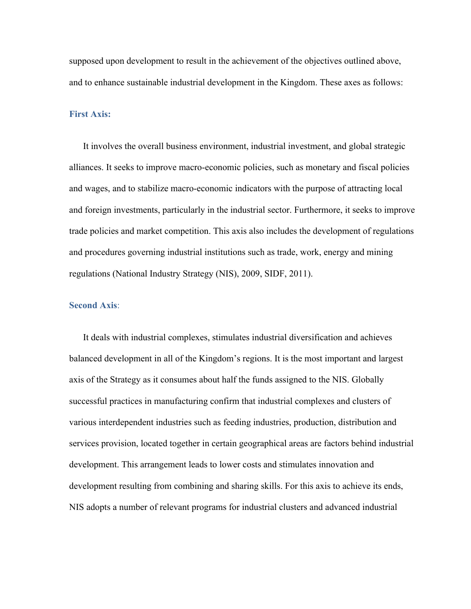supposed upon development to result in the achievement of the objectives outlined above, and to enhance sustainable industrial development in the Kingdom. These axes as follows:

#### **First Axis:**

It involves the overall business environment, industrial investment, and global strategic alliances. It seeks to improve macro-economic policies, such as monetary and fiscal policies and wages, and to stabilize macro-economic indicators with the purpose of attracting local and foreign investments, particularly in the industrial sector. Furthermore, it seeks to improve trade policies and market competition. This axis also includes the development of regulations and procedures governing industrial institutions such as trade, work, energy and mining regulations (National Industry Strategy (NIS), 2009, SIDF, 2011).

#### **Second Axis**:

It deals with industrial complexes, stimulates industrial diversification and achieves balanced development in all of the Kingdom's regions. It is the most important and largest axis of the Strategy as it consumes about half the funds assigned to the NIS. Globally successful practices in manufacturing confirm that industrial complexes and clusters of various interdependent industries such as feeding industries, production, distribution and services provision, located together in certain geographical areas are factors behind industrial development. This arrangement leads to lower costs and stimulates innovation and development resulting from combining and sharing skills. For this axis to achieve its ends, NIS adopts a number of relevant programs for industrial clusters and advanced industrial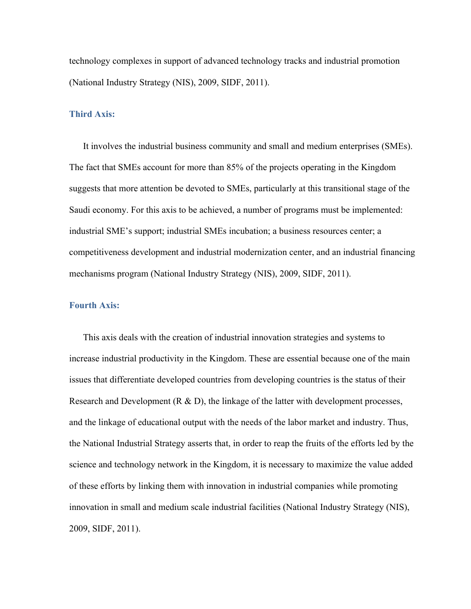technology complexes in support of advanced technology tracks and industrial promotion (National Industry Strategy (NIS), 2009, SIDF, 2011).

#### **Third Axis:**

It involves the industrial business community and small and medium enterprises (SMEs). The fact that SMEs account for more than 85% of the projects operating in the Kingdom suggests that more attention be devoted to SMEs, particularly at this transitional stage of the Saudi economy. For this axis to be achieved, a number of programs must be implemented: industrial SME's support; industrial SMEs incubation; a business resources center; a competitiveness development and industrial modernization center, and an industrial financing mechanisms program (National Industry Strategy (NIS), 2009, SIDF, 2011).

#### **Fourth Axis:**

This axis deals with the creation of industrial innovation strategies and systems to increase industrial productivity in the Kingdom. These are essential because one of the main issues that differentiate developed countries from developing countries is the status of their Research and Development  $(R & D)$ , the linkage of the latter with development processes, and the linkage of educational output with the needs of the labor market and industry. Thus, the National Industrial Strategy asserts that, in order to reap the fruits of the efforts led by the science and technology network in the Kingdom, it is necessary to maximize the value added of these efforts by linking them with innovation in industrial companies while promoting innovation in small and medium scale industrial facilities (National Industry Strategy (NIS), 2009, SIDF, 2011).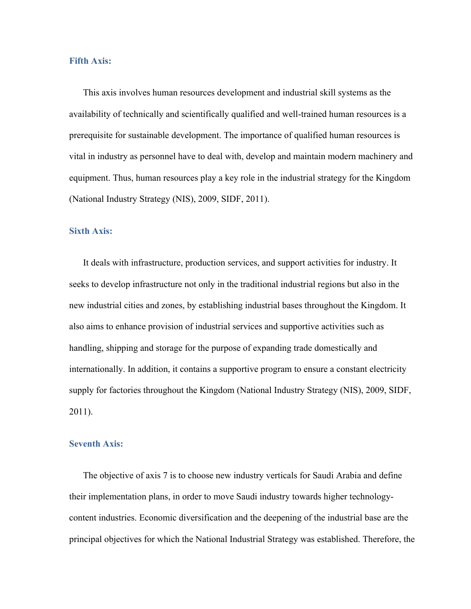#### **Fifth Axis:**

This axis involves human resources development and industrial skill systems as the availability of technically and scientifically qualified and well-trained human resources is a prerequisite for sustainable development. The importance of qualified human resources is vital in industry as personnel have to deal with, develop and maintain modern machinery and equipment. Thus, human resources play a key role in the industrial strategy for the Kingdom (National Industry Strategy (NIS), 2009, SIDF, 2011).

#### **Sixth Axis:**

It deals with infrastructure, production services, and support activities for industry. It seeks to develop infrastructure not only in the traditional industrial regions but also in the new industrial cities and zones, by establishing industrial bases throughout the Kingdom. It also aims to enhance provision of industrial services and supportive activities such as handling, shipping and storage for the purpose of expanding trade domestically and internationally. In addition, it contains a supportive program to ensure a constant electricity supply for factories throughout the Kingdom (National Industry Strategy (NIS), 2009, SIDF, 2011).

#### **Seventh Axis:**

The objective of axis 7 is to choose new industry verticals for Saudi Arabia and define their implementation plans, in order to move Saudi industry towards higher technologycontent industries. Economic diversification and the deepening of the industrial base are the principal objectives for which the National Industrial Strategy was established. Therefore, the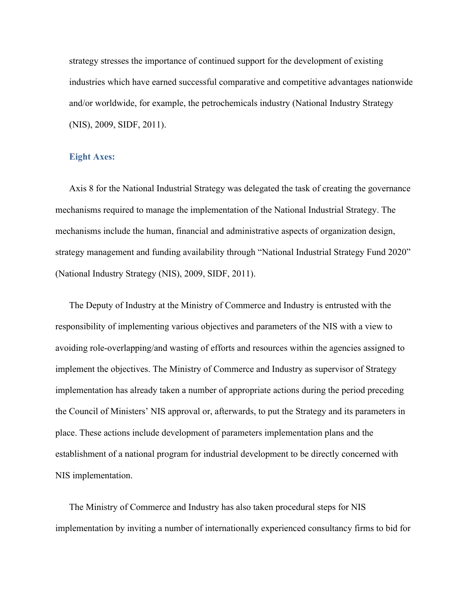strategy stresses the importance of continued support for the development of existing industries which have earned successful comparative and competitive advantages nationwide and/or worldwide, for example, the petrochemicals industry (National Industry Strategy (NIS), 2009, SIDF, 2011).

#### **Eight Axes:**

Axis 8 for the National Industrial Strategy was delegated the task of creating the governance mechanisms required to manage the implementation of the National Industrial Strategy. The mechanisms include the human, financial and administrative aspects of organization design, strategy management and funding availability through "National Industrial Strategy Fund 2020" (National Industry Strategy (NIS), 2009, SIDF, 2011).

The Deputy of Industry at the Ministry of Commerce and Industry is entrusted with the responsibility of implementing various objectives and parameters of the NIS with a view to avoiding role-overlapping/and wasting of efforts and resources within the agencies assigned to implement the objectives. The Ministry of Commerce and Industry as supervisor of Strategy implementation has already taken a number of appropriate actions during the period preceding the Council of Ministers' NIS approval or, afterwards, to put the Strategy and its parameters in place. These actions include development of parameters implementation plans and the establishment of a national program for industrial development to be directly concerned with NIS implementation.

The Ministry of Commerce and Industry has also taken procedural steps for NIS implementation by inviting a number of internationally experienced consultancy firms to bid for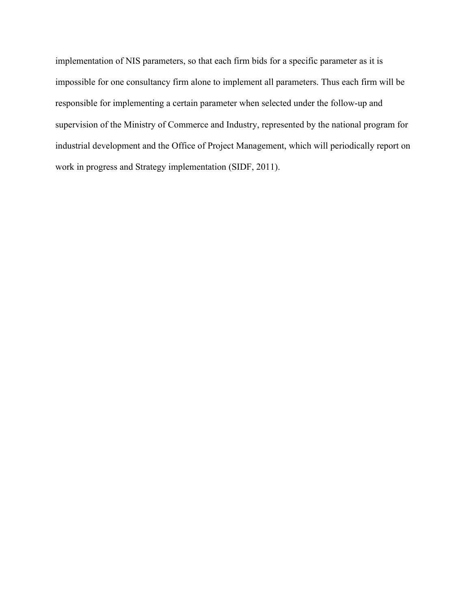implementation of NIS parameters, so that each firm bids for a specific parameter as it is impossible for one consultancy firm alone to implement all parameters. Thus each firm will be responsible for implementing a certain parameter when selected under the follow-up and supervision of the Ministry of Commerce and Industry, represented by the national program for industrial development and the Office of Project Management, which will periodically report on work in progress and Strategy implementation (SIDF, 2011).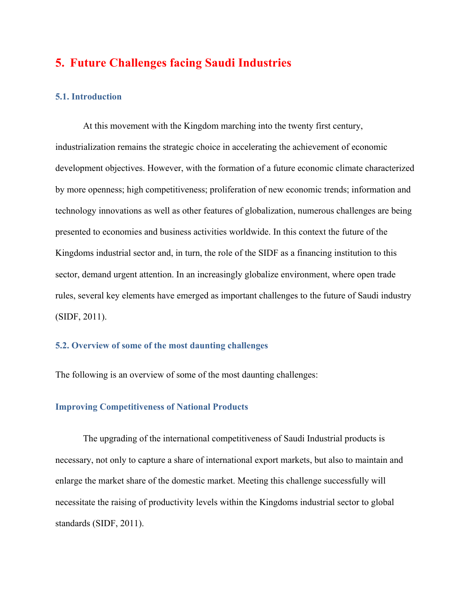## **5. Future Challenges facing Saudi Industries**

#### **5.1. Introduction**

At this movement with the Kingdom marching into the twenty first century, industrialization remains the strategic choice in accelerating the achievement of economic development objectives. However, with the formation of a future economic climate characterized by more openness; high competitiveness; proliferation of new economic trends; information and technology innovations as well as other features of globalization, numerous challenges are being presented to economies and business activities worldwide. In this context the future of the Kingdoms industrial sector and, in turn, the role of the SIDF as a financing institution to this sector, demand urgent attention. In an increasingly globalize environment, where open trade rules, several key elements have emerged as important challenges to the future of Saudi industry (SIDF, 2011).

#### **5.2. Overview of some of the most daunting challenges**

The following is an overview of some of the most daunting challenges:

#### **Improving Competitiveness of National Products**

The upgrading of the international competitiveness of Saudi Industrial products is necessary, not only to capture a share of international export markets, but also to maintain and enlarge the market share of the domestic market. Meeting this challenge successfully will necessitate the raising of productivity levels within the Kingdoms industrial sector to global standards (SIDF, 2011).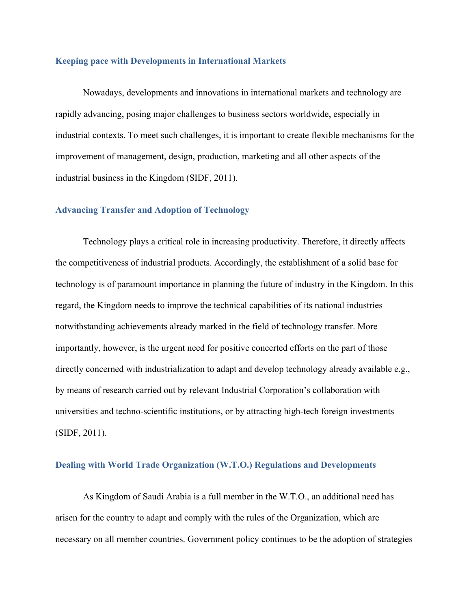#### **Keeping pace with Developments in International Markets**

Nowadays, developments and innovations in international markets and technology are rapidly advancing, posing major challenges to business sectors worldwide, especially in industrial contexts. To meet such challenges, it is important to create flexible mechanisms for the improvement of management, design, production, marketing and all other aspects of the industrial business in the Kingdom (SIDF, 2011).

#### **Advancing Transfer and Adoption of Technology**

Technology plays a critical role in increasing productivity. Therefore, it directly affects the competitiveness of industrial products. Accordingly, the establishment of a solid base for technology is of paramount importance in planning the future of industry in the Kingdom. In this regard, the Kingdom needs to improve the technical capabilities of its national industries notwithstanding achievements already marked in the field of technology transfer. More importantly, however, is the urgent need for positive concerted efforts on the part of those directly concerned with industrialization to adapt and develop technology already available e.g., by means of research carried out by relevant Industrial Corporation's collaboration with universities and techno-scientific institutions, or by attracting high-tech foreign investments (SIDF, 2011).

#### **Dealing with World Trade Organization (W.T.O.) Regulations and Developments**

As Kingdom of Saudi Arabia is a full member in the W.T.O., an additional need has arisen for the country to adapt and comply with the rules of the Organization, which are necessary on all member countries. Government policy continues to be the adoption of strategies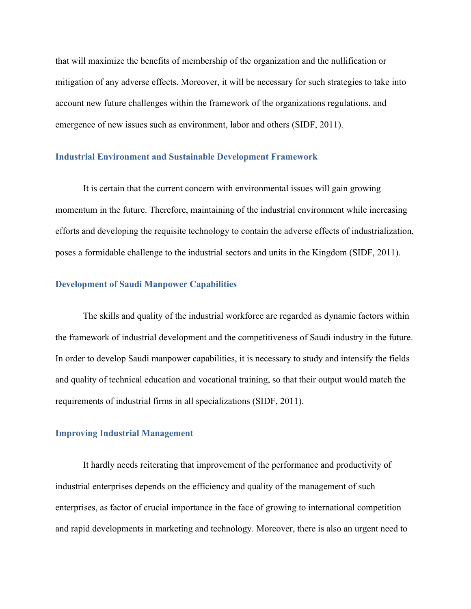that will maximize the benefits of membership of the organization and the nullification or mitigation of any adverse effects. Moreover, it will be necessary for such strategies to take into account new future challenges within the framework of the organizations regulations, and emergence of new issues such as environment, labor and others (SIDF, 2011).

#### **Industrial Environment and Sustainable Development Framework**

It is certain that the current concern with environmental issues will gain growing momentum in the future. Therefore, maintaining of the industrial environment while increasing efforts and developing the requisite technology to contain the adverse effects of industrialization, poses a formidable challenge to the industrial sectors and units in the Kingdom (SIDF, 2011).

#### **Development of Saudi Manpower Capabilities**

The skills and quality of the industrial workforce are regarded as dynamic factors within the framework of industrial development and the competitiveness of Saudi industry in the future. In order to develop Saudi manpower capabilities, it is necessary to study and intensify the fields and quality of technical education and vocational training, so that their output would match the requirements of industrial firms in all specializations (SIDF, 2011).

#### **Improving Industrial Management**

It hardly needs reiterating that improvement of the performance and productivity of industrial enterprises depends on the efficiency and quality of the management of such enterprises, as factor of crucial importance in the face of growing to international competition and rapid developments in marketing and technology. Moreover, there is also an urgent need to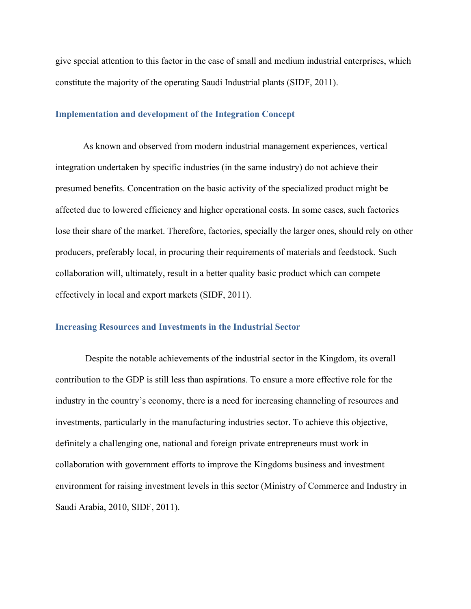give special attention to this factor in the case of small and medium industrial enterprises, which constitute the majority of the operating Saudi Industrial plants (SIDF, 2011).

#### **Implementation and development of the Integration Concept**

As known and observed from modern industrial management experiences, vertical integration undertaken by specific industries (in the same industry) do not achieve their presumed benefits. Concentration on the basic activity of the specialized product might be affected due to lowered efficiency and higher operational costs. In some cases, such factories lose their share of the market. Therefore, factories, specially the larger ones, should rely on other producers, preferably local, in procuring their requirements of materials and feedstock. Such collaboration will, ultimately, result in a better quality basic product which can compete effectively in local and export markets (SIDF, 2011).

#### **Increasing Resources and Investments in the Industrial Sector**

 Despite the notable achievements of the industrial sector in the Kingdom, its overall contribution to the GDP is still less than aspirations. To ensure a more effective role for the industry in the country's economy, there is a need for increasing channeling of resources and investments, particularly in the manufacturing industries sector. To achieve this objective, definitely a challenging one, national and foreign private entrepreneurs must work in collaboration with government efforts to improve the Kingdoms business and investment environment for raising investment levels in this sector (Ministry of Commerce and Industry in Saudi Arabia, 2010, SIDF, 2011).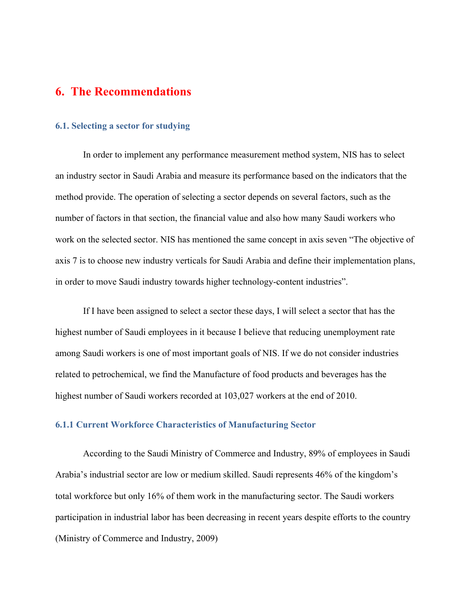### **6. The Recommendations**

#### **6.1. Selecting a sector for studying**

In order to implement any performance measurement method system, NIS has to select an industry sector in Saudi Arabia and measure its performance based on the indicators that the method provide. The operation of selecting a sector depends on several factors, such as the number of factors in that section, the financial value and also how many Saudi workers who work on the selected sector. NIS has mentioned the same concept in axis seven "The objective of axis 7 is to choose new industry verticals for Saudi Arabia and define their implementation plans, in order to move Saudi industry towards higher technology-content industries".

If I have been assigned to select a sector these days, I will select a sector that has the highest number of Saudi employees in it because I believe that reducing unemployment rate among Saudi workers is one of most important goals of NIS. If we do not consider industries related to petrochemical, we find the Manufacture of food products and beverages has the highest number of Saudi workers recorded at 103,027 workers at the end of 2010.

#### **6.1.1 Current Workforce Characteristics of Manufacturing Sector**

 According to the Saudi Ministry of Commerce and Industry, 89% of employees in Saudi Arabia's industrial sector are low or medium skilled. Saudi represents 46% of the kingdom's total workforce but only 16% of them work in the manufacturing sector. The Saudi workers participation in industrial labor has been decreasing in recent years despite efforts to the country (Ministry of Commerce and Industry, 2009)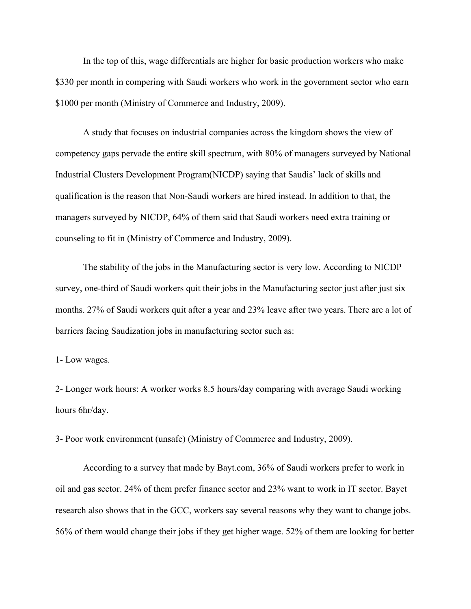In the top of this, wage differentials are higher for basic production workers who make \$330 per month in compering with Saudi workers who work in the government sector who earn \$1000 per month (Ministry of Commerce and Industry, 2009).

A study that focuses on industrial companies across the kingdom shows the view of competency gaps pervade the entire skill spectrum, with 80% of managers surveyed by National Industrial Clusters Development Program(NICDP) saying that Saudis' lack of skills and qualification is the reason that Non-Saudi workers are hired instead. In addition to that, the managers surveyed by NICDP, 64% of them said that Saudi workers need extra training or counseling to fit in (Ministry of Commerce and Industry, 2009).

 The stability of the jobs in the Manufacturing sector is very low. According to NICDP survey, one-third of Saudi workers quit their jobs in the Manufacturing sector just after just six months. 27% of Saudi workers quit after a year and 23% leave after two years. There are a lot of barriers facing Saudization jobs in manufacturing sector such as:

1- Low wages.

2- Longer work hours: A worker works 8.5 hours/day comparing with average Saudi working hours 6hr/day.

3- Poor work environment (unsafe) (Ministry of Commerce and Industry, 2009).

 According to a survey that made by Bayt.com, 36% of Saudi workers prefer to work in oil and gas sector. 24% of them prefer finance sector and 23% want to work in IT sector. Bayet research also shows that in the GCC, workers say several reasons why they want to change jobs. 56% of them would change their jobs if they get higher wage. 52% of them are looking for better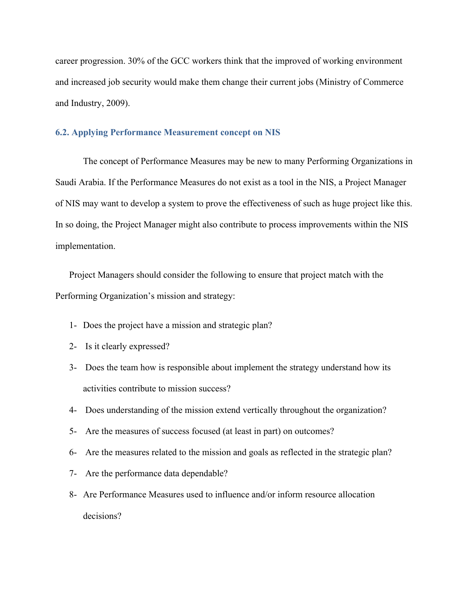career progression. 30% of the GCC workers think that the improved of working environment and increased job security would make them change their current jobs (Ministry of Commerce and Industry, 2009).

#### **6.2. Applying Performance Measurement concept on NIS**

The concept of Performance Measures may be new to many Performing Organizations in Saudi Arabia. If the Performance Measures do not exist as a tool in the NIS, a Project Manager of NIS may want to develop a system to prove the effectiveness of such as huge project like this. In so doing, the Project Manager might also contribute to process improvements within the NIS implementation.

Project Managers should consider the following to ensure that project match with the Performing Organization's mission and strategy:

- 1- Does the project have a mission and strategic plan?
- 2- Is it clearly expressed?
- 3- Does the team how is responsible about implement the strategy understand how its activities contribute to mission success?
- 4- Does understanding of the mission extend vertically throughout the organization?
- 5- Are the measures of success focused (at least in part) on outcomes?
- 6- Are the measures related to the mission and goals as reflected in the strategic plan?
- 7- Are the performance data dependable?
- 8- Are Performance Measures used to influence and/or inform resource allocation decisions?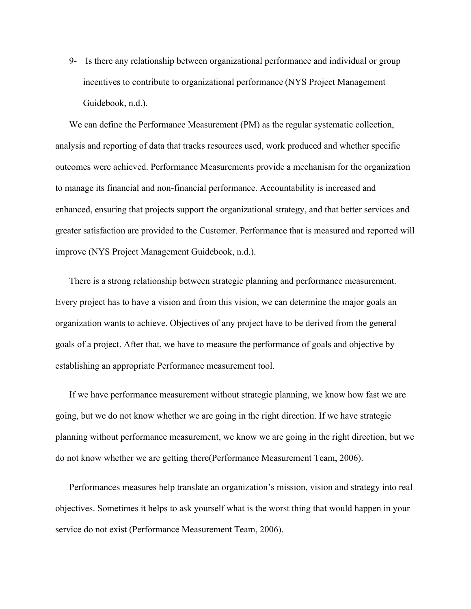9- Is there any relationship between organizational performance and individual or group incentives to contribute to organizational performance (NYS Project Management Guidebook, n.d.).

We can define the Performance Measurement (PM) as the regular systematic collection, analysis and reporting of data that tracks resources used, work produced and whether specific outcomes were achieved. Performance Measurements provide a mechanism for the organization to manage its financial and non-financial performance. Accountability is increased and enhanced, ensuring that projects support the organizational strategy, and that better services and greater satisfaction are provided to the Customer. Performance that is measured and reported will improve (NYS Project Management Guidebook, n.d.).

There is a strong relationship between strategic planning and performance measurement. Every project has to have a vision and from this vision, we can determine the major goals an organization wants to achieve. Objectives of any project have to be derived from the general goals of a project. After that, we have to measure the performance of goals and objective by establishing an appropriate Performance measurement tool.

If we have performance measurement without strategic planning, we know how fast we are going, but we do not know whether we are going in the right direction. If we have strategic planning without performance measurement, we know we are going in the right direction, but we do not know whether we are getting there(Performance Measurement Team, 2006).

Performances measures help translate an organization's mission, vision and strategy into real objectives. Sometimes it helps to ask yourself what is the worst thing that would happen in your service do not exist (Performance Measurement Team, 2006).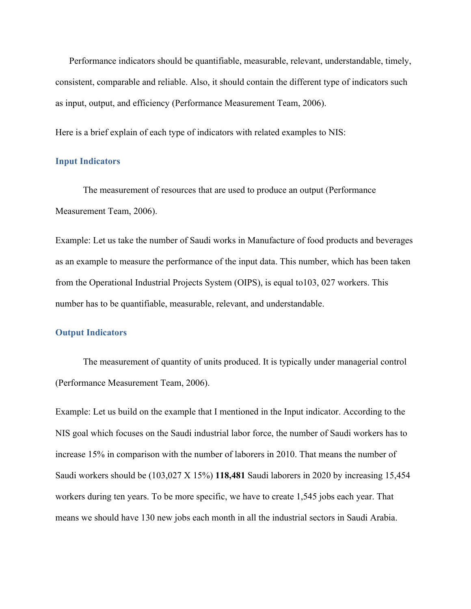Performance indicators should be quantifiable, measurable, relevant, understandable, timely, consistent, comparable and reliable. Also, it should contain the different type of indicators such as input, output, and efficiency (Performance Measurement Team, 2006).

Here is a brief explain of each type of indicators with related examples to NIS:

#### **Input Indicators**

The measurement of resources that are used to produce an output (Performance Measurement Team, 2006).

Example: Let us take the number of Saudi works in Manufacture of food products and beverages as an example to measure the performance of the input data. This number, which has been taken from the Operational Industrial Projects System (OIPS), is equal to103, 027 workers. This number has to be quantifiable, measurable, relevant, and understandable.

#### **Output Indicators**

The measurement of quantity of units produced. It is typically under managerial control (Performance Measurement Team, 2006).

Example: Let us build on the example that I mentioned in the Input indicator. According to the NIS goal which focuses on the Saudi industrial labor force, the number of Saudi workers has to increase 15% in comparison with the number of laborers in 2010. That means the number of Saudi workers should be (103,027 X 15%) **118,481** Saudi laborers in 2020 by increasing 15,454 workers during ten years. To be more specific, we have to create 1,545 jobs each year. That means we should have 130 new jobs each month in all the industrial sectors in Saudi Arabia.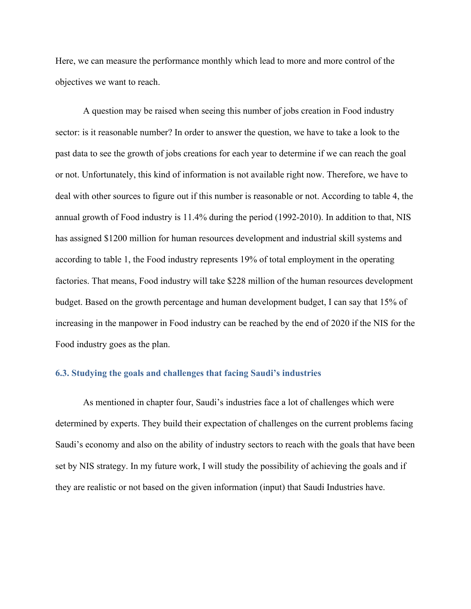Here, we can measure the performance monthly which lead to more and more control of the objectives we want to reach.

A question may be raised when seeing this number of jobs creation in Food industry sector: is it reasonable number? In order to answer the question, we have to take a look to the past data to see the growth of jobs creations for each year to determine if we can reach the goal or not. Unfortunately, this kind of information is not available right now. Therefore, we have to deal with other sources to figure out if this number is reasonable or not. According to table 4, the annual growth of Food industry is 11.4% during the period (1992-2010). In addition to that, NIS has assigned \$1200 million for human resources development and industrial skill systems and according to table 1, the Food industry represents 19% of total employment in the operating factories. That means, Food industry will take \$228 million of the human resources development budget. Based on the growth percentage and human development budget, I can say that 15% of increasing in the manpower in Food industry can be reached by the end of 2020 if the NIS for the Food industry goes as the plan.

#### **6.3. Studying the goals and challenges that facing Saudi's industries**

As mentioned in chapter four, Saudi's industries face a lot of challenges which were determined by experts. They build their expectation of challenges on the current problems facing Saudi's economy and also on the ability of industry sectors to reach with the goals that have been set by NIS strategy. In my future work, I will study the possibility of achieving the goals and if they are realistic or not based on the given information (input) that Saudi Industries have.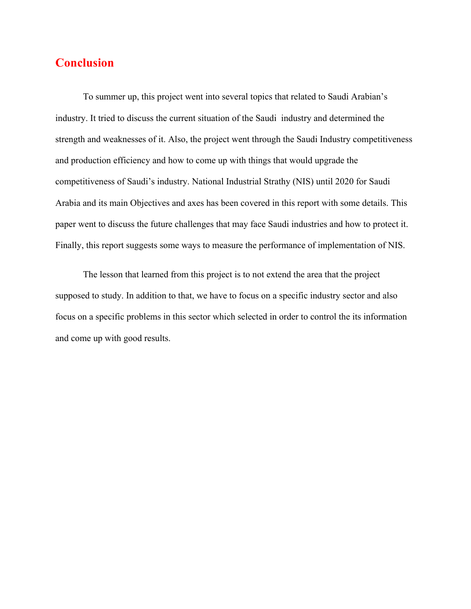# **Conclusion**

To summer up, this project went into several topics that related to Saudi Arabian's industry. It tried to discuss the current situation of the Saudi industry and determined the strength and weaknesses of it. Also, the project went through the Saudi Industry competitiveness and production efficiency and how to come up with things that would upgrade the competitiveness of Saudi's industry. National Industrial Strathy (NIS) until 2020 for Saudi Arabia and its main Objectives and axes has been covered in this report with some details. This paper went to discuss the future challenges that may face Saudi industries and how to protect it. Finally, this report suggests some ways to measure the performance of implementation of NIS.

The lesson that learned from this project is to not extend the area that the project supposed to study. In addition to that, we have to focus on a specific industry sector and also focus on a specific problems in this sector which selected in order to control the its information and come up with good results.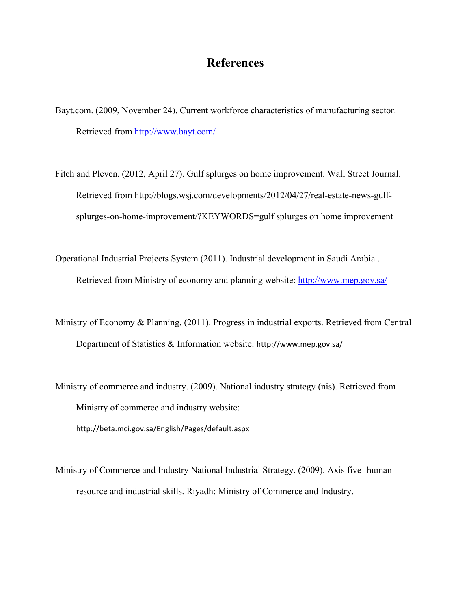# **References**

- Bayt.com. (2009, November 24). Current workforce characteristics of manufacturing sector. Retrieved from http://www.bayt.com/
- Fitch and Pleven. (2012, April 27). Gulf splurges on home improvement. Wall Street Journal. Retrieved from http://blogs.wsj.com/developments/2012/04/27/real-estate-news-gulfsplurges-on-home-improvement/?KEYWORDS=gulf splurges on home improvement
- Operational Industrial Projects System (2011). Industrial development in Saudi Arabia . Retrieved from Ministry of economy and planning website: http://www.mep.gov.sa/
- Ministry of Economy & Planning. (2011). Progress in industrial exports. Retrieved from Central Department of Statistics & Information website: http://www.mep.gov.sa/
- Ministry of commerce and industry. (2009). National industry strategy (nis). Retrieved from Ministry of commerce and industry website: http://beta.mci.gov.sa/English/Pages/default.aspx
- Ministry of Commerce and Industry National Industrial Strategy. (2009). Axis five- human resource and industrial skills. Riyadh: Ministry of Commerce and Industry.